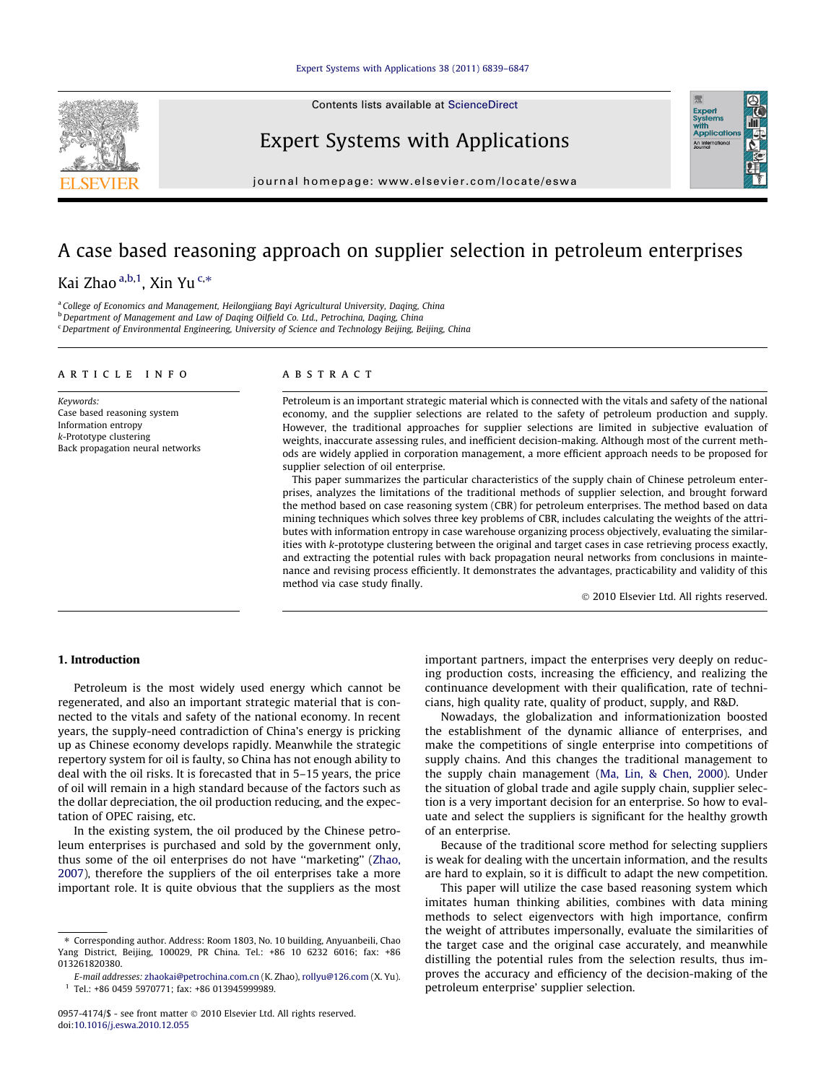Contents lists available at [ScienceDirect](http://www.sciencedirect.com/science/journal/09574174)



### Expert Systems with Applications

journal homepage: [www.elsevier.com/locate/eswa](http://www.elsevier.com/locate/eswa)

# A case based reasoning approach on supplier selection in petroleum enterprises

### Kai Zhao <sup>a,b,1</sup>, Xin Yu <sup>c,</sup>\*

<sup>a</sup> College of Economics and Management, Heilongjiang Bayi Agricultural University, Daqing, China

b Department of Management and Law of Daqing Oilfield Co. Ltd., Petrochina, Daqing, China

<sup>c</sup> Department of Environmental Engineering, University of Science and Technology Beijing, Beijing, China

#### article info

Keywords: Case based reasoning system Information entropy k-Prototype clustering Back propagation neural networks

#### ABSTRACT

Petroleum is an important strategic material which is connected with the vitals and safety of the national economy, and the supplier selections are related to the safety of petroleum production and supply. However, the traditional approaches for supplier selections are limited in subjective evaluation of weights, inaccurate assessing rules, and inefficient decision-making. Although most of the current methods are widely applied in corporation management, a more efficient approach needs to be proposed for supplier selection of oil enterprise.

This paper summarizes the particular characteristics of the supply chain of Chinese petroleum enterprises, analyzes the limitations of the traditional methods of supplier selection, and brought forward the method based on case reasoning system (CBR) for petroleum enterprises. The method based on data mining techniques which solves three key problems of CBR, includes calculating the weights of the attributes with information entropy in case warehouse organizing process objectively, evaluating the similarities with k-prototype clustering between the original and target cases in case retrieving process exactly, and extracting the potential rules with back propagation neural networks from conclusions in maintenance and revising process efficiently. It demonstrates the advantages, practicability and validity of this method via case study finally.

- 2010 Elsevier Ltd. All rights reserved.

Expert<br>Systems<br>with<br>Applical

#### 1. Introduction

Petroleum is the most widely used energy which cannot be regenerated, and also an important strategic material that is connected to the vitals and safety of the national economy. In recent years, the supply-need contradiction of China's energy is pricking up as Chinese economy develops rapidly. Meanwhile the strategic repertory system for oil is faulty, so China has not enough ability to deal with the oil risks. It is forecasted that in 5–15 years, the price of oil will remain in a high standard because of the factors such as the dollar depreciation, the oil production reducing, and the expectation of OPEC raising, etc.

In the existing system, the oil produced by the Chinese petroleum enterprises is purchased and sold by the government only, thus some of the oil enterprises do not have ''marketing'' [\(Zhao,](#page--1-0) [2007](#page--1-0)), therefore the suppliers of the oil enterprises take a more important role. It is quite obvious that the suppliers as the most important partners, impact the enterprises very deeply on reducing production costs, increasing the efficiency, and realizing the continuance development with their qualification, rate of technicians, high quality rate, quality of product, supply, and R&D.

Nowadays, the globalization and informationization boosted the establishment of the dynamic alliance of enterprises, and make the competitions of single enterprise into competitions of supply chains. And this changes the traditional management to the supply chain management ([Ma, Lin, & Chen, 2000\)](#page--1-0). Under the situation of global trade and agile supply chain, supplier selection is a very important decision for an enterprise. So how to evaluate and select the suppliers is significant for the healthy growth of an enterprise.

Because of the traditional score method for selecting suppliers is weak for dealing with the uncertain information, and the results are hard to explain, so it is difficult to adapt the new competition.

This paper will utilize the case based reasoning system which imitates human thinking abilities, combines with data mining methods to select eigenvectors with high importance, confirm the weight of attributes impersonally, evaluate the similarities of the target case and the original case accurately, and meanwhile distilling the potential rules from the selection results, thus improves the accuracy and efficiency of the decision-making of the petroleum enterprise' supplier selection.

<sup>⇑</sup> Corresponding author. Address: Room 1803, No. 10 building, Anyuanbeili, Chao Yang District, Beijing, 100029, PR China. Tel.: +86 10 6232 6016; fax: +86 013261820380.

E-mail addresses: [zhaokai@petrochina.com.cn](mailto:zhaokai@petrochina.com.cn) (K. Zhao), [rollyu@126.com](mailto:rollyu@126.com) (X. Yu). <sup>1</sup> Tel.: +86 0459 5970771; fax: +86 013945999989.

<sup>0957-4174/\$ -</sup> see front matter © 2010 Elsevier Ltd. All rights reserved. doi[:10.1016/j.eswa.2010.12.055](http://dx.doi.org/10.1016/j.eswa.2010.12.055)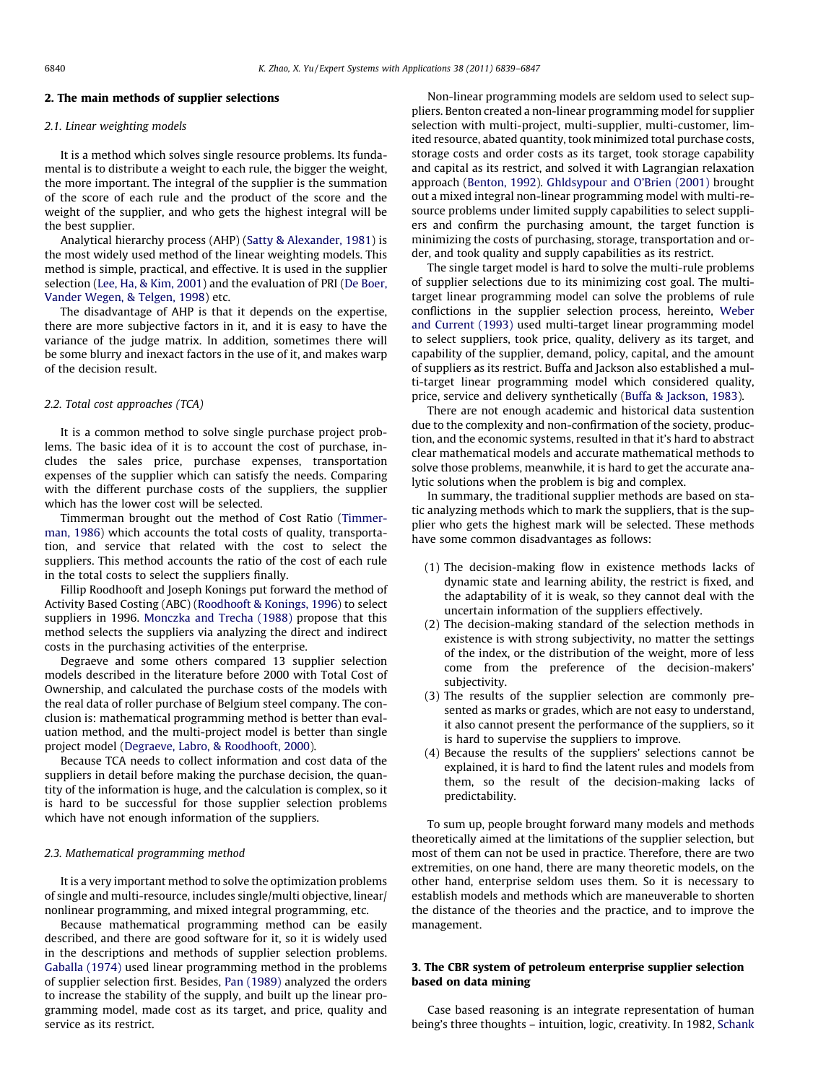#### 2. The main methods of supplier selections

#### 2.1. Linear weighting models

It is a method which solves single resource problems. Its fundamental is to distribute a weight to each rule, the bigger the weight, the more important. The integral of the supplier is the summation of the score of each rule and the product of the score and the weight of the supplier, and who gets the highest integral will be the best supplier.

Analytical hierarchy process (AHP) [\(Satty & Alexander, 1981](#page--1-0)) is the most widely used method of the linear weighting models. This method is simple, practical, and effective. It is used in the supplier selection [\(Lee, Ha, & Kim, 2001](#page--1-0)) and the evaluation of PRI ([De Boer,](#page--1-0) [Vander Wegen, & Telgen, 1998](#page--1-0)) etc.

The disadvantage of AHP is that it depends on the expertise, there are more subjective factors in it, and it is easy to have the variance of the judge matrix. In addition, sometimes there will be some blurry and inexact factors in the use of it, and makes warp of the decision result.

#### 2.2. Total cost approaches (TCA)

It is a common method to solve single purchase project problems. The basic idea of it is to account the cost of purchase, includes the sales price, purchase expenses, transportation expenses of the supplier which can satisfy the needs. Comparing with the different purchase costs of the suppliers, the supplier which has the lower cost will be selected.

Timmerman brought out the method of Cost Ratio ([Timmer](#page--1-0)[man, 1986](#page--1-0)) which accounts the total costs of quality, transportation, and service that related with the cost to select the suppliers. This method accounts the ratio of the cost of each rule in the total costs to select the suppliers finally.

Fillip Roodhooft and Joseph Konings put forward the method of Activity Based Costing (ABC) ([Roodhooft & Konings, 1996](#page--1-0)) to select suppliers in 1996. [Monczka and Trecha \(1988\)](#page--1-0) propose that this method selects the suppliers via analyzing the direct and indirect costs in the purchasing activities of the enterprise.

Degraeve and some others compared 13 supplier selection models described in the literature before 2000 with Total Cost of Ownership, and calculated the purchase costs of the models with the real data of roller purchase of Belgium steel company. The conclusion is: mathematical programming method is better than evaluation method, and the multi-project model is better than single project model [\(Degraeve, Labro, & Roodhooft, 2000](#page--1-0)).

Because TCA needs to collect information and cost data of the suppliers in detail before making the purchase decision, the quantity of the information is huge, and the calculation is complex, so it is hard to be successful for those supplier selection problems which have not enough information of the suppliers.

#### 2.3. Mathematical programming method

It is a very important method to solve the optimization problems of single and multi-resource, includes single/multi objective, linear/ nonlinear programming, and mixed integral programming, etc.

Because mathematical programming method can be easily described, and there are good software for it, so it is widely used in the descriptions and methods of supplier selection problems. [Gaballa \(1974\)](#page--1-0) used linear programming method in the problems of supplier selection first. Besides, [Pan \(1989\)](#page--1-0) analyzed the orders to increase the stability of the supply, and built up the linear programming model, made cost as its target, and price, quality and service as its restrict.

Non-linear programming models are seldom used to select suppliers. Benton created a non-linear programming model for supplier selection with multi-project, multi-supplier, multi-customer, limited resource, abated quantity, took minimized total purchase costs, storage costs and order costs as its target, took storage capability and capital as its restrict, and solved it with Lagrangian relaxation approach ([Benton, 1992](#page--1-0)). [Ghldsypour and O'Brien \(2001\)](#page--1-0) brought out a mixed integral non-linear programming model with multi-resource problems under limited supply capabilities to select suppliers and confirm the purchasing amount, the target function is minimizing the costs of purchasing, storage, transportation and order, and took quality and supply capabilities as its restrict.

The single target model is hard to solve the multi-rule problems of supplier selections due to its minimizing cost goal. The multitarget linear programming model can solve the problems of rule conflictions in the supplier selection process, hereinto, [Weber](#page--1-0) [and Current \(1993\)](#page--1-0) used multi-target linear programming model to select suppliers, took price, quality, delivery as its target, and capability of the supplier, demand, policy, capital, and the amount of suppliers as its restrict. Buffa and Jackson also established a multi-target linear programming model which considered quality, price, service and delivery synthetically [\(Buffa & Jackson, 1983\)](#page--1-0).

There are not enough academic and historical data sustention due to the complexity and non-confirmation of the society, production, and the economic systems, resulted in that it's hard to abstract clear mathematical models and accurate mathematical methods to solve those problems, meanwhile, it is hard to get the accurate analytic solutions when the problem is big and complex.

In summary, the traditional supplier methods are based on static analyzing methods which to mark the suppliers, that is the supplier who gets the highest mark will be selected. These methods have some common disadvantages as follows:

- (1) The decision-making flow in existence methods lacks of dynamic state and learning ability, the restrict is fixed, and the adaptability of it is weak, so they cannot deal with the uncertain information of the suppliers effectively.
- (2) The decision-making standard of the selection methods in existence is with strong subjectivity, no matter the settings of the index, or the distribution of the weight, more of less come from the preference of the decision-makers' subjectivity.
- (3) The results of the supplier selection are commonly presented as marks or grades, which are not easy to understand, it also cannot present the performance of the suppliers, so it is hard to supervise the suppliers to improve.
- (4) Because the results of the suppliers' selections cannot be explained, it is hard to find the latent rules and models from them, so the result of the decision-making lacks of predictability.

To sum up, people brought forward many models and methods theoretically aimed at the limitations of the supplier selection, but most of them can not be used in practice. Therefore, there are two extremities, on one hand, there are many theoretic models, on the other hand, enterprise seldom uses them. So it is necessary to establish models and methods which are maneuverable to shorten the distance of the theories and the practice, and to improve the management.

#### 3. The CBR system of petroleum enterprise supplier selection based on data mining

Case based reasoning is an integrate representation of human being's three thoughts – intuition, logic, creativity. In 1982, [Schank](#page--1-0)